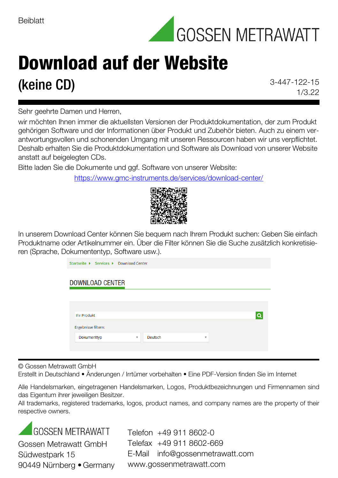

## Download auf der Website **(keine CD)** 3-447-122-15

1/3.22

Sehr geehrte Damen und Herren,

wir möchten Ihnen immer die aktuellsten Versionen der Produktdokumentation, der zum Produkt gehörigen Software und der Informationen über Produkt und Zubehör bieten. Auch zu einem verantwortungsvollen und schonenden Umgang mit unseren Ressourcen haben wir uns verpflichtet. Deshalb erhalten Sie die Produktdokumentation und Software als Download von unserer Website anstatt auf beigelegten CDs.

Bitte laden Sie die Dokumente und ggf. Software von unserer Website:

<https://www.gmc-instruments.de/services/download-center/>



In unserem Download Center können Sie bequem nach Ihrem Produkt suchen: Geben Sie einfach Produktname oder Artikelnummer ein. Über die Filter können Sie die Suche zusätzlich konkretisieren (Sprache, Dokumententyp, Software usw.).

| Startseite ▶ Services ▶ Download Center                                      |  |
|------------------------------------------------------------------------------|--|
| <b>DOWNLOAD CENTER</b>                                                       |  |
|                                                                              |  |
| <b>Ihr Produkt</b>                                                           |  |
| Ergebnisse filtern:                                                          |  |
| Dokumenttyp<br>Deutsch<br>$\overline{\mathbf{v}}$<br>$\overline{\mathbf{v}}$ |  |
|                                                                              |  |

© Gossen Metrawatt GmbH

Erstellt in Deutschland • Änderungen / Irrtümer vorbehalten • Eine PDF-Version finden Sie im Internet

Alle Handelsmarken, eingetragenen Handelsmarken, Logos, Produktbezeichnungen und Firmennamen sind das Eigentum ihrer jeweiligen Besitzer.

All trademarks, registered trademarks, logos, product names, and company names are the property of their respective owners.

**GOSSEN METRAWATT** Gossen Metrawatt GmbH Südwestpark 15 90449 Nürnberg • Germany

Telefon +49 911 8602-0 Telefax +49 911 8602-669 E-Mail info@gossenmetrawatt.com www.gossenmetrawatt.com